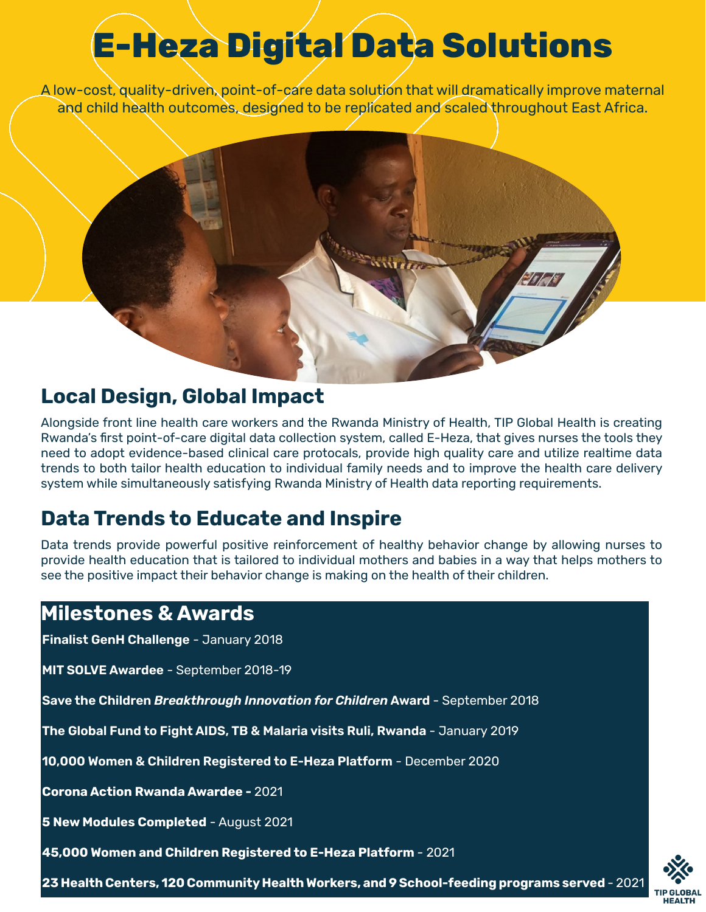# **E-Heza Digital Data Solutions**

A low-cost, quality-driven, point-of-care data solution that will dramatically improve maternal and child health outcomes, designed to be replicated and scaled throughout East Africa.



### **Local Design, Global Impact**

Alongside front line health care workers and the Rwanda Ministry of Health, TIP Global Health is creating Rwanda's first point-of-care digital data collection system, called E-Heza, that gives nurses the tools they need to adopt evidence-based clinical care protocals, provide high quality care and utilize realtime data trends to both tailor health education to individual family needs and to improve the health care delivery system while simultaneously satisfying Rwanda Ministry of Health data reporting requirements.

### **Data Trends to Educate and Inspire**

Data trends provide powerful positive reinforcement of healthy behavior change by allowing nurses to provide health education that is tailored to individual mothers and babies in a way that helps mothers to see the positive impact their behavior change is making on the health of their children.

### **Milestones & Awards**

**Finalist GenH Challenge** - January 2018

**MIT SOLVE Awardee** - September 2018-19

**Save the Children** *Breakthrough Innovation for Children* **Award** - September 2018

**The Global Fund to Fight AIDS, TB & Malaria visits Ruli, Rwanda** - January 2019

**10,000 Women & Children Registered to E-Heza Platform** - December 2020

**Corona Action Rwanda Awardee -** 2021

**5 New Modules Completed** - August 2021

**45,000 Women and Children Registered to E-Heza Platform** - 2021

**23 Health Centers, 120 Community Health Workers, and 9 School-feeding programs served** - 2021